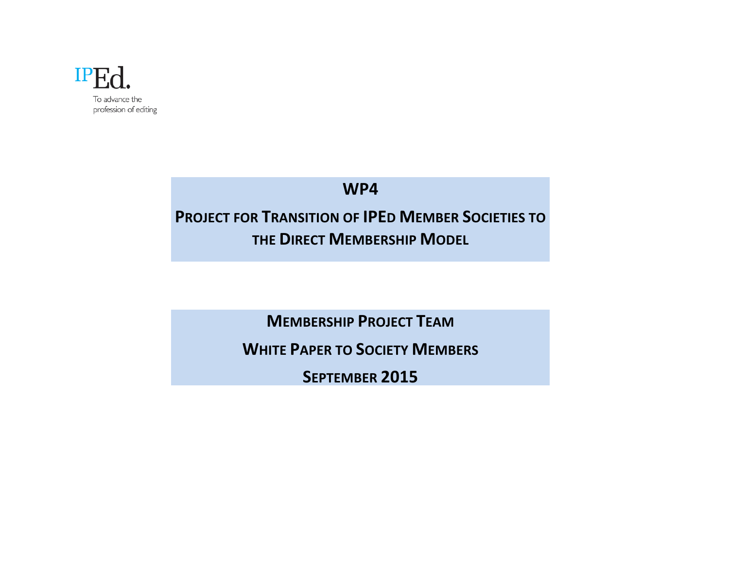

# **WP4**

# **PROJECT FOR TRANSITION OF IPED MEMBER SOCIETIES TO THE DIRECT MEMBERSHIP MODEL**

**MEMBERSHIP PROJECT TEAM** 

**WHITE PAPER TO SOCIETY MEMBERS** 

SEPTEMBER 2015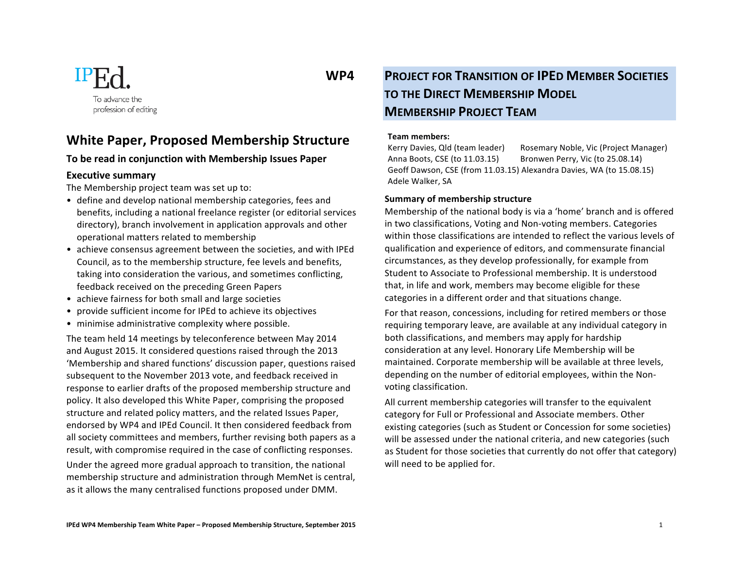

### **White Paper, Proposed Membership Structure**

#### To be read in conjunction with Membership Issues Paper

#### **Executive summary**

The Membership project team was set up to:

- define and develop national membership categories, fees and benefits, including a national freelance register (or editorial services directory), branch involvement in application approvals and other operational matters related to membership
- achieve consensus agreement between the societies, and with IPEd Council, as to the membership structure, fee levels and benefits, taking into consideration the various, and sometimes conflicting, feedback received on the preceding Green Papers
- achieve fairness for both small and large societies
- provide sufficient income for IPEd to achieve its objectives
- minimise administrative complexity where possible.

The team held 14 meetings by teleconference between May 2014 and August 2015. It considered questions raised through the 2013 'Membership and shared functions' discussion paper, questions raised subsequent to the November 2013 vote, and feedback received in response to earlier drafts of the proposed membership structure and policy. It also developed this White Paper, comprising the proposed structure and related policy matters, and the related Issues Paper, endorsed by WP4 and IPEd Council. It then considered feedback from all society committees and members, further revising both papers as a result, with compromise required in the case of conflicting responses.

Under the agreed more gradual approach to transition, the national membership structure and administration through MemNet is central, as it allows the many centralised functions proposed under DMM.

## **WP4 PROJECT FOR TRANSITION OF IPED MEMBER SOCIETIES TO THE DIRECT MEMBERSHIP MODEL MEMBERSHIP PROJECT TEAM**

#### **Team members:**

Kerry Davies, Qld (team leader) Rosemary Noble, Vic (Project Manager) Anna Boots, CSE (to 11.03.15) Bronwen Perry, Vic (to 25.08.14) Geoff Dawson, CSE (from 11.03.15) Alexandra Davies, WA (to 15.08.15) Adele Walker, SA

#### **Summary of membership structure**

Membership of the national body is via a 'home' branch and is offered in two classifications, Voting and Non-voting members. Categories within those classifications are intended to reflect the various levels of qualification and experience of editors, and commensurate financial circumstances, as they develop professionally, for example from Student to Associate to Professional membership. It is understood that, in life and work, members may become eligible for these categories in a different order and that situations change.

For that reason, concessions, including for retired members or those requiring temporary leave, are available at any individual category in both classifications, and members may apply for hardship consideration at any level. Honorary Life Membership will be maintained. Corporate membership will be available at three levels, depending on the number of editorial employees, within the Nonvoting classification.

All current membership categories will transfer to the equivalent category for Full or Professional and Associate members. Other existing categories (such as Student or Concession for some societies) will be assessed under the national criteria, and new categories (such as Student for those societies that currently do not offer that category) will need to be applied for.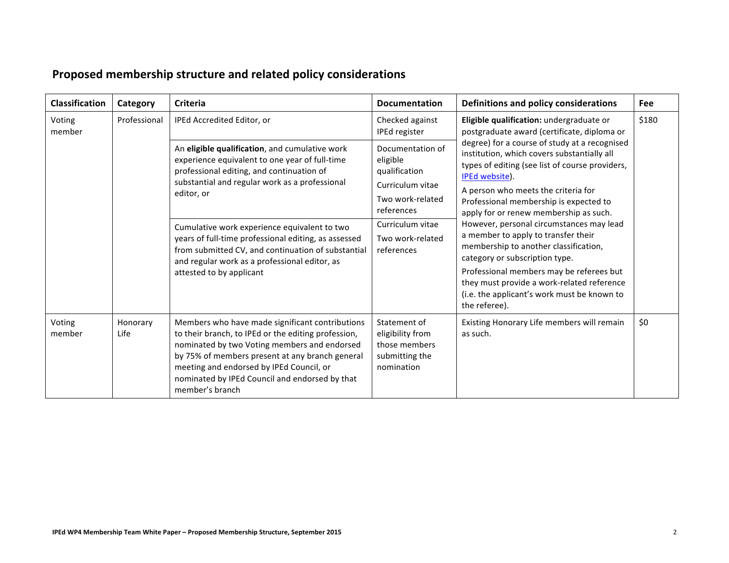| <b>Classification</b> | Category         | <b>Criteria</b>                                                                                                                                                                                                                                                                                                                                                                                                                                          | <b>Documentation</b>                                                                                                                                      | Definitions and policy considerations                                                                                                                                                                                                                                                                                                                                                                                                                                                                                                                                                                                                                                                                           | <b>Fee</b> |
|-----------------------|------------------|----------------------------------------------------------------------------------------------------------------------------------------------------------------------------------------------------------------------------------------------------------------------------------------------------------------------------------------------------------------------------------------------------------------------------------------------------------|-----------------------------------------------------------------------------------------------------------------------------------------------------------|-----------------------------------------------------------------------------------------------------------------------------------------------------------------------------------------------------------------------------------------------------------------------------------------------------------------------------------------------------------------------------------------------------------------------------------------------------------------------------------------------------------------------------------------------------------------------------------------------------------------------------------------------------------------------------------------------------------------|------------|
| Voting<br>member      | Professional     | IPEd Accredited Editor, or                                                                                                                                                                                                                                                                                                                                                                                                                               | Checked against<br>IPEd register                                                                                                                          | Eligible qualification: undergraduate or<br>postgraduate award (certificate, diploma or<br>degree) for a course of study at a recognised<br>institution, which covers substantially all<br>types of editing (see list of course providers,<br>IPEd website).<br>A person who meets the criteria for<br>Professional membership is expected to<br>apply for or renew membership as such.<br>However, personal circumstances may lead<br>a member to apply to transfer their<br>membership to another classification,<br>category or subscription type.<br>Professional members may be referees but<br>they must provide a work-related reference<br>(i.e. the applicant's work must be known to<br>the referee). | \$180      |
|                       |                  | An eligible qualification, and cumulative work<br>experience equivalent to one year of full-time<br>professional editing, and continuation of<br>substantial and regular work as a professional<br>editor, or<br>Cumulative work experience equivalent to two<br>years of full-time professional editing, as assessed<br>from submitted CV, and continuation of substantial<br>and regular work as a professional editor, as<br>attested to by applicant | Documentation of<br>eligible<br>qualification<br>Curriculum vitae<br>Two work-related<br>references<br>Curriculum vitae<br>Two work-related<br>references |                                                                                                                                                                                                                                                                                                                                                                                                                                                                                                                                                                                                                                                                                                                 |            |
| Voting<br>member      | Honorary<br>Life | Members who have made significant contributions<br>to their branch, to IPEd or the editing profession,<br>nominated by two Voting members and endorsed<br>by 75% of members present at any branch general<br>meeting and endorsed by IPEd Council, or<br>nominated by IPEd Council and endorsed by that<br>member's branch                                                                                                                               | Statement of<br>eligibility from<br>those members<br>submitting the<br>nomination                                                                         | Existing Honorary Life members will remain<br>as such.                                                                                                                                                                                                                                                                                                                                                                                                                                                                                                                                                                                                                                                          | \$0        |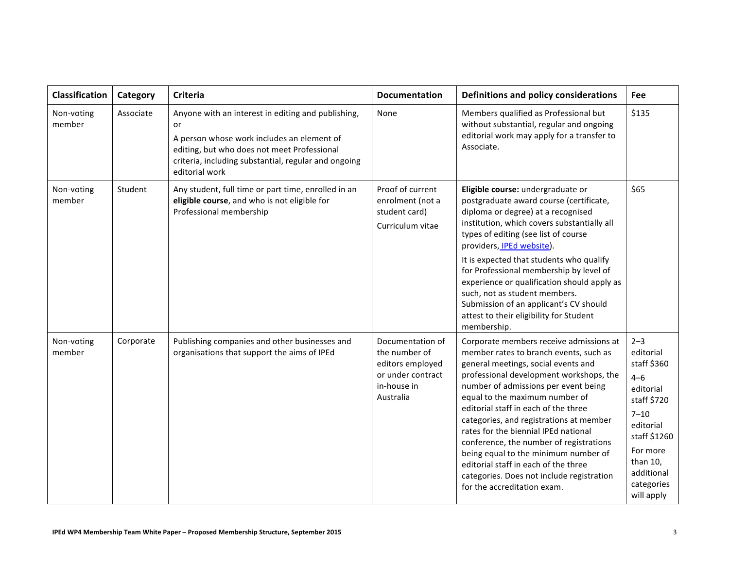| <b>Classification</b> | Category  | <b>Criteria</b>                                                                                                                                                                                                                 | <b>Documentation</b>                                                                                   | Definitions and policy considerations                                                                                                                                                                                                                                                                                                                                                                                                                                                                                                                                           | Fee                                                                                                                                                                                   |
|-----------------------|-----------|---------------------------------------------------------------------------------------------------------------------------------------------------------------------------------------------------------------------------------|--------------------------------------------------------------------------------------------------------|---------------------------------------------------------------------------------------------------------------------------------------------------------------------------------------------------------------------------------------------------------------------------------------------------------------------------------------------------------------------------------------------------------------------------------------------------------------------------------------------------------------------------------------------------------------------------------|---------------------------------------------------------------------------------------------------------------------------------------------------------------------------------------|
| Non-voting<br>member  | Associate | Anyone with an interest in editing and publishing,<br>or<br>A person whose work includes an element of<br>editing, but who does not meet Professional<br>criteria, including substantial, regular and ongoing<br>editorial work | None                                                                                                   | Members qualified as Professional but<br>without substantial, regular and ongoing<br>editorial work may apply for a transfer to<br>Associate.                                                                                                                                                                                                                                                                                                                                                                                                                                   | \$135                                                                                                                                                                                 |
| Non-voting<br>member  | Student   | Any student, full time or part time, enrolled in an<br>eligible course, and who is not eligible for<br>Professional membership                                                                                                  | Proof of current<br>enrolment (not a<br>student card)<br>Curriculum vitae                              | Eligible course: undergraduate or<br>postgraduate award course (certificate,<br>diploma or degree) at a recognised<br>institution, which covers substantially all<br>types of editing (see list of course<br>providers, IPEd website).<br>It is expected that students who qualify<br>for Professional membership by level of<br>experience or qualification should apply as<br>such, not as student members.<br>Submission of an applicant's CV should<br>attest to their eligibility for Student<br>membership.                                                               | \$65                                                                                                                                                                                  |
| Non-voting<br>member  | Corporate | Publishing companies and other businesses and<br>organisations that support the aims of IPEd                                                                                                                                    | Documentation of<br>the number of<br>editors employed<br>or under contract<br>in-house in<br>Australia | Corporate members receive admissions at<br>member rates to branch events, such as<br>general meetings, social events and<br>professional development workshops, the<br>number of admissions per event being<br>equal to the maximum number of<br>editorial staff in each of the three<br>categories, and registrations at member<br>rates for the biennial IPEd national<br>conference, the number of registrations<br>being equal to the minimum number of<br>editorial staff in each of the three<br>categories. Does not include registration<br>for the accreditation exam. | $2 - 3$<br>editorial<br>staff \$360<br>$4 - 6$<br>editorial<br>staff \$720<br>$7 - 10$<br>editorial<br>staff \$1260<br>For more<br>than 10,<br>additional<br>categories<br>will apply |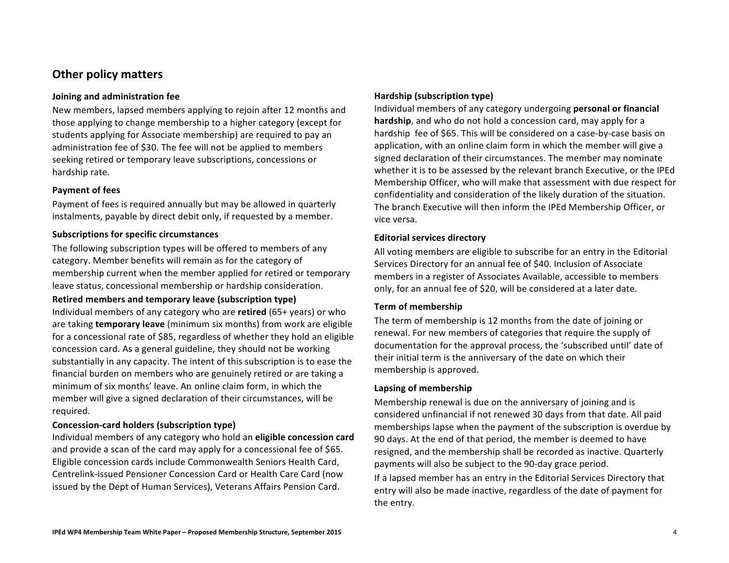### **Other policy matters**

#### **Joining and administration fee**

New members, lapsed members applying to rejoin after 12 months and those applying to change membership to a higher category (except for students applying for Associate membership) are required to pay an administration fee of \$30. The fee will not be applied to members seeking retired or temporary leave subscriptions, concessions or hardship rate.

#### **Payment of fees**

Payment of fees is required annually but may be allowed in quarterly instalments, payable by direct debit only, if requested by a member.

#### **Subscriptions for specific circumstances**

The following subscription types will be offered to members of any category. Member benefits will remain as for the category of membership current when the member applied for retired or temporary leave status, concessional membership or hardship consideration.

#### **Retired members and temporary leave (subscription type)**

Individual members of any category who are **retired** (65+ years) or who are taking **temporary leave** (minimum six months) from work are eligible for a concessional rate of \$85, regardless of whether they hold an eligible concession card. As a general guideline, they should not be working substantially in any capacity. The intent of this subscription is to ease the financial burden on members who are genuinely retired or are taking a minimum of six months' leave. An online claim form, in which the member will give a signed declaration of their circumstances, will be required.

#### **Concession-card holders (subscription type)**

Individual members of any category who hold an **eligible concession card** and provide a scan of the card may apply for a concessional fee of \$65. Eligible concession cards include Commonwealth Seniors Health Card, Centrelink-issued Pensioner Concession Card or Health Care Card (now issued by the Dept of Human Services), Veterans Affairs Pension Card.

#### **Hardship (subscription type)**

Individual members of any category undergoing **personal or financial hardship**, and who do not hold a concession card, may apply for a hardship fee of \$65. This will be considered on a case-by-case basis on application, with an online claim form in which the member will give a signed declaration of their circumstances. The member may nominate whether it is to be assessed by the relevant branch Executive, or the IPEd Membership Officer, who will make that assessment with due respect for confidentiality and consideration of the likely duration of the situation. The branch Executive will then inform the IPEd Membership Officer, or vice versa.

#### **Editorial services directory**

All voting members are eligible to subscribe for an entry in the Editorial Services Directory for an annual fee of \$40. Inclusion of Associate members in a register of Associates Available, accessible to members only, for an annual fee of \$20, will be considered at a later date.

#### **Term of membership**

The term of membership is 12 months from the date of joining or renewal. For new members of categories that require the supply of documentation for the approval process, the 'subscribed until' date of their initial term is the anniversary of the date on which their membership is approved.

#### Lapsing of membership

Membership renewal is due on the anniversary of joining and is considered unfinancial if not renewed 30 days from that date. All paid memberships lapse when the payment of the subscription is overdue by 90 days. At the end of that period, the member is deemed to have resigned, and the membership shall be recorded as inactive. Quarterly payments will also be subject to the 90-day grace period. If a lapsed member has an entry in the Editorial Services Directory that entry will also be made inactive, regardless of the date of payment for the entry.